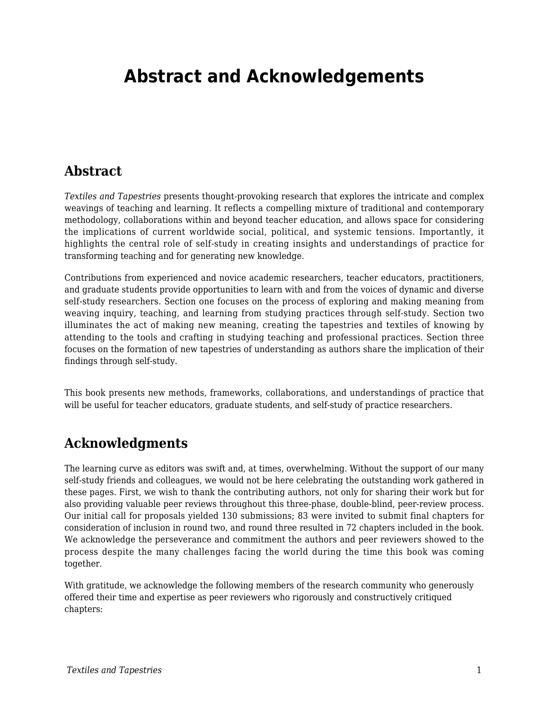## **Abstract and Acknowledgements**

## **Abstract**

*Textiles and Tapestries* presents thought-provoking research that explores the intricate and complex weavings of teaching and learning. It reflects a compelling mixture of traditional and contemporary methodology, collaborations within and beyond teacher education, and allows space for considering the implications of current worldwide social, political, and systemic tensions. Importantly, it highlights the central role of self-study in creating insights and understandings of practice for transforming teaching and for generating new knowledge.

Contributions from experienced and novice academic researchers, teacher educators, practitioners, and graduate students provide opportunities to learn with and from the voices of dynamic and diverse self-study researchers. Section one focuses on the process of exploring and making meaning from weaving inquiry, teaching, and learning from studying practices through self-study. Section two illuminates the act of making new meaning, creating the tapestries and textiles of knowing by attending to the tools and crafting in studying teaching and professional practices. Section three focuses on the formation of new tapestries of understanding as authors share the implication of their findings through self-study.

This book presents new methods, frameworks, collaborations, and understandings of practice that will be useful for teacher educators, graduate students, and self-study of practice researchers.

## **Acknowledgments**

The learning curve as editors was swift and, at times, overwhelming. Without the support of our many self-study friends and colleagues, we would not be here celebrating the outstanding work gathered in these pages. First, we wish to thank the contributing authors, not only for sharing their work but for also providing valuable peer reviews throughout this three-phase, double-blind, peer-review process. Our initial call for proposals yielded 130 submissions; 83 were invited to submit final chapters for consideration of inclusion in round two, and round three resulted in 72 chapters included in the book. We acknowledge the perseverance and commitment the authors and peer reviewers showed to the process despite the many challenges facing the world during the time this book was coming together.

With gratitude, we acknowledge the following members of the research community who generously offered their time and expertise as peer reviewers who rigorously and constructively critiqued chapters: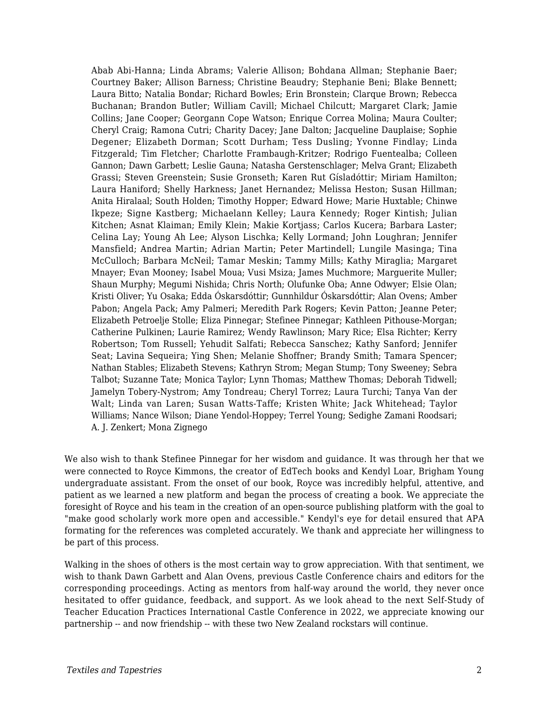Abab Abi-Hanna; Linda Abrams; Valerie Allison; Bohdana Allman; Stephanie Baer; Courtney Baker; Allison Barness; Christine Beaudry; Stephanie Beni; Blake Bennett; Laura Bitto; Natalia Bondar; Richard Bowles; Erin Bronstein; Clarque Brown; Rebecca Buchanan; Brandon Butler; William Cavill; Michael Chilcutt; Margaret Clark; Jamie Collins; Jane Cooper; Georgann Cope Watson; Enrique Correa Molina; Maura Coulter; Cheryl Craig; Ramona Cutri; Charity Dacey; Jane Dalton; Jacqueline Dauplaise; Sophie Degener; Elizabeth Dorman; Scott Durham; Tess Dusling; Yvonne Findlay; Linda Fitzgerald; Tim Fletcher; Charlotte Frambaugh-Kritzer; Rodrigo Fuentealba; Colleen Gannon; Dawn Garbett; Leslie Gauna; Natasha Gerstenschlager; Melva Grant; Elizabeth Grassi; Steven Greenstein; Susie Gronseth; Karen Rut Gísladóttir; Miriam Hamilton; Laura Haniford; Shelly Harkness; Janet Hernandez; Melissa Heston; Susan Hillman; Anita Hiralaal; South Holden; Timothy Hopper; Edward Howe; Marie Huxtable; Chinwe Ikpeze; Signe Kastberg; Michaelann Kelley; Laura Kennedy; Roger Kintish; Julian Kitchen; Asnat Klaiman; Emily Klein; Makie Kortjass; Carlos Kucera; Barbara Laster; Celina Lay; Young Ah Lee; Alyson Lischka; Kelly Lormand; John Loughran; Jennifer Mansfield; Andrea Martin; Adrian Martin; Peter Martindell; Lungile Masinga; Tina McCulloch; Barbara McNeil; Tamar Meskin; Tammy Mills; Kathy Miraglia; Margaret Mnayer; Evan Mooney; Isabel Moua; Vusi Msiza; James Muchmore; Marguerite Muller; Shaun Murphy; Megumi Nishida; Chris North; Olufunke Oba; Anne Odwyer; Elsie Olan; Kristi Oliver; Yu Osaka; Edda Óskarsdóttir; Gunnhildur Óskarsdóttir; Alan Ovens; Amber Pabon; Angela Pack; Amy Palmeri; Meredith Park Rogers; Kevin Patton; Jeanne Peter; Elizabeth Petroelje Stolle; Eliza Pinnegar; Stefinee Pinnegar; Kathleen Pithouse-Morgan; Catherine Pulkinen; Laurie Ramirez; Wendy Rawlinson; Mary Rice; Elsa Richter; Kerry Robertson; Tom Russell; Yehudit Salfati; Rebecca Sanschez; Kathy Sanford; Jennifer Seat; Lavina Sequeira; Ying Shen; Melanie Shoffner; Brandy Smith; Tamara Spencer; Nathan Stables; Elizabeth Stevens; Kathryn Strom; Megan Stump; Tony Sweeney; Sebra Talbot; Suzanne Tate; Monica Taylor; Lynn Thomas; Matthew Thomas; Deborah Tidwell; Jamelyn Tobery-Nystrom; Amy Tondreau; Cheryl Torrez; Laura Turchi; Tanya Van der Walt; Linda van Laren; Susan Watts-Taffe; Kristen White; Jack Whitehead; Taylor Williams; Nance Wilson; Diane Yendol-Hoppey; Terrel Young; Sedighe Zamani Roodsari; A. J. Zenkert; Mona Zignego

We also wish to thank Stefinee Pinnegar for her wisdom and guidance. It was through her that we were connected to Royce Kimmons, the creator of EdTech books and Kendyl Loar, Brigham Young undergraduate assistant. From the onset of our book, Royce was incredibly helpful, attentive, and patient as we learned a new platform and began the process of creating a book. We appreciate the foresight of Royce and his team in the creation of an open-source publishing platform with the goal to "make good scholarly work more open and accessible." Kendyl's eye for detail ensured that APA formating for the references was completed accurately. We thank and appreciate her willingness to be part of this process.

Walking in the shoes of others is the most certain way to grow appreciation. With that sentiment, we wish to thank Dawn Garbett and Alan Ovens, previous Castle Conference chairs and editors for the corresponding proceedings. Acting as mentors from half-way around the world, they never once hesitated to offer guidance, feedback, and support. As we look ahead to the next Self-Study of Teacher Education Practices International Castle Conference in 2022, we appreciate knowing our partnership -- and now friendship -- with these two New Zealand rockstars will continue.